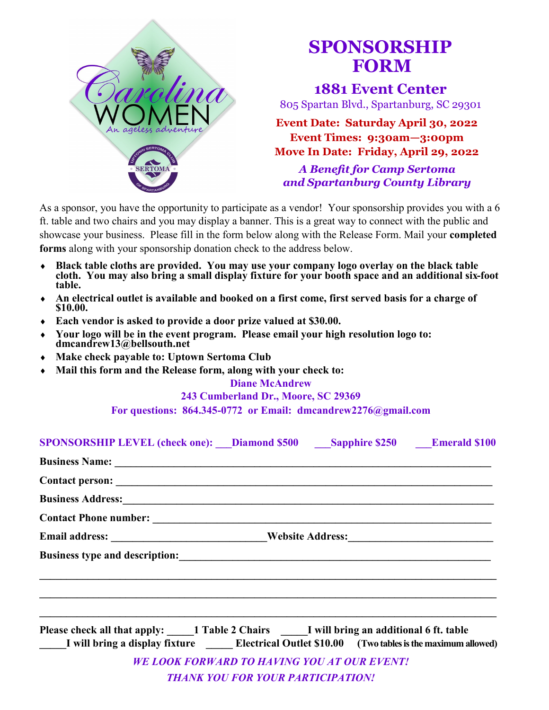

## **FORM SPONSORSHIP**

**1881 Event Center**

805 Spartan Blvd., Spartanburg, SC 29301

**Event Date: Saturday April 30, 2022 Event Times: 9:30am—3:00pm Move In Date: Friday, April 29, 2022**

*A Benefit for Camp Sertoma and Spartanburg County Library*

As a sponsor, you have the opportunity to participate as a vendor! Your sponsorship provides you with a 6 ft. table and two chairs and you may display a banner. This is a great way to connect with the public and showcase your business. Please fill in the form below along with the Release Form. Mail your **completed forms** along with your sponsorship donation check to the address below.

- **Black table cloths are provided. You may use your company logo overlay on the black table cloth. You may also bring a small display fixture for your booth space and an additional six-foot table.**
- **An electrical outlet is available and booked on a first come, first served basis for a charge of \$10.00.**
- **Each vendor is asked to provide a door prize valued at \$30.00.**
- **Your logo will be in the event program. Please email your high resolution logo to: dmcandrew13@bellsouth.net**
- **Make check payable to: Uptown Sertoma Club**
- **Mail this form and the Release form, along with your check to:**

**Diane McAndrew**

**243 Cumberland Dr., Moore, SC 29369**

**For questions: 864.345-0772 or Email: dmcandrew2276@gmail.com**

| SPONSORSHIP LEVEL (check one): Diamond \$500 Sapphire \$250 Emerald \$100                                                                                                                                                                 |                                          |                                                    |  |  |  |  |
|-------------------------------------------------------------------------------------------------------------------------------------------------------------------------------------------------------------------------------------------|------------------------------------------|----------------------------------------------------|--|--|--|--|
| <b>Business Name:</b> <u>Container and Container and Container and Container and Container and Container and Container and Container and Container and Container and Container and Container and Container and Container and Containe</u> |                                          |                                                    |  |  |  |  |
|                                                                                                                                                                                                                                           |                                          |                                                    |  |  |  |  |
| Business Address: New York: New York: New York: New York: New York: New York: New York: New York: New York: New York: New York: New York: New York: New York: New York: New York: New York: New York: New York: New York: New             |                                          |                                                    |  |  |  |  |
|                                                                                                                                                                                                                                           |                                          |                                                    |  |  |  |  |
|                                                                                                                                                                                                                                           |                                          |                                                    |  |  |  |  |
|                                                                                                                                                                                                                                           |                                          |                                                    |  |  |  |  |
|                                                                                                                                                                                                                                           |                                          |                                                    |  |  |  |  |
|                                                                                                                                                                                                                                           |                                          |                                                    |  |  |  |  |
|                                                                                                                                                                                                                                           |                                          |                                                    |  |  |  |  |
| Please check all that apply: 1 Table 2 Chairs I will bring an additional 6 ft. table                                                                                                                                                      |                                          |                                                    |  |  |  |  |
| I will bring a display fixture Electrical Outlet \$10.00 (Two tables is the maximum allowed)                                                                                                                                              |                                          |                                                    |  |  |  |  |
|                                                                                                                                                                                                                                           |                                          | <b>WE LOOK FORWARD TO HAVING YOU AT OUR EVENT!</b> |  |  |  |  |
|                                                                                                                                                                                                                                           | <b>THANK YOU FOR YOUR PARTICIPATION!</b> |                                                    |  |  |  |  |